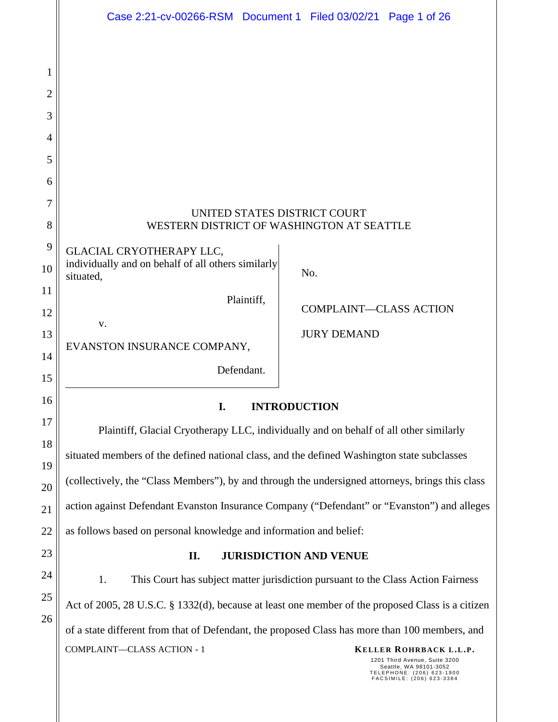|                                                                                                      | Case 2:21-cv-00266-RSM  Document 1  Filed 03/02/21  Page 1 of 26                                                                                                                     |  |                               |                                                         |  |
|------------------------------------------------------------------------------------------------------|--------------------------------------------------------------------------------------------------------------------------------------------------------------------------------------|--|-------------------------------|---------------------------------------------------------|--|
|                                                                                                      |                                                                                                                                                                                      |  |                               |                                                         |  |
| 1                                                                                                    |                                                                                                                                                                                      |  |                               |                                                         |  |
| 2                                                                                                    |                                                                                                                                                                                      |  |                               |                                                         |  |
| 3                                                                                                    |                                                                                                                                                                                      |  |                               |                                                         |  |
| 4                                                                                                    |                                                                                                                                                                                      |  |                               |                                                         |  |
| 5                                                                                                    |                                                                                                                                                                                      |  |                               |                                                         |  |
| 6                                                                                                    |                                                                                                                                                                                      |  |                               |                                                         |  |
| 7                                                                                                    | UNITED STATES DISTRICT COURT                                                                                                                                                         |  |                               |                                                         |  |
| 8                                                                                                    | WESTERN DISTRICT OF WASHINGTON AT SEATTLE                                                                                                                                            |  |                               |                                                         |  |
| 9                                                                                                    | GLACIAL CRYOTHERAPY LLC,<br>individually and on behalf of all others similarly                                                                                                       |  |                               |                                                         |  |
| 10                                                                                                   | situated,                                                                                                                                                                            |  | No.                           |                                                         |  |
| 11                                                                                                   | Plaintiff,                                                                                                                                                                           |  | <b>COMPLAINT-CLASS ACTION</b> |                                                         |  |
| 12<br>13                                                                                             | V.                                                                                                                                                                                   |  | <b>JURY DEMAND</b>            |                                                         |  |
| 14                                                                                                   | EVANSTON INSURANCE COMPANY,                                                                                                                                                          |  |                               |                                                         |  |
| 15                                                                                                   | Defendant.                                                                                                                                                                           |  |                               |                                                         |  |
| 16                                                                                                   |                                                                                                                                                                                      |  |                               |                                                         |  |
| 17                                                                                                   | I.<br><b>INTRODUCTION</b>                                                                                                                                                            |  |                               |                                                         |  |
| 18                                                                                                   | Plaintiff, Glacial Cryotherapy LLC, individually and on behalf of all other similarly<br>situated members of the defined national class, and the defined Washington state subclasses |  |                               |                                                         |  |
| 19                                                                                                   |                                                                                                                                                                                      |  |                               |                                                         |  |
| 20                                                                                                   | (collectively, the "Class Members"), by and through the undersigned attorneys, brings this class                                                                                     |  |                               |                                                         |  |
| 21                                                                                                   | action against Defendant Evanston Insurance Company ("Defendant" or "Evanston") and alleges                                                                                          |  |                               |                                                         |  |
| 22                                                                                                   | as follows based on personal knowledge and information and belief:                                                                                                                   |  |                               |                                                         |  |
| 23                                                                                                   | П.                                                                                                                                                                                   |  | <b>JURISDICTION AND VENUE</b> |                                                         |  |
| 24                                                                                                   | 1.<br>This Court has subject matter jurisdiction pursuant to the Class Action Fairness                                                                                               |  |                               |                                                         |  |
| 25                                                                                                   | Act of 2005, 28 U.S.C. § 1332(d), because at least one member of the proposed Class is a citizen                                                                                     |  |                               |                                                         |  |
| 26<br>of a state different from that of Defendant, the proposed Class has more than 100 members, and |                                                                                                                                                                                      |  |                               |                                                         |  |
|                                                                                                      | COMPLAINT-CLASS ACTION - 1                                                                                                                                                           |  |                               | KELLER ROHRBACK L.L.P.<br>1201 Third Avenue, Suite 3200 |  |

1201 Third Avenue, Suite 3200 Seattle, WA 98101-3052 T E L E P H O N E : ( 2 0 6 ) 6 2 3 - 1 9 0 0 F A C S I M I L E : ( 2 0 6 ) 6 2 3 - 3 3 8 4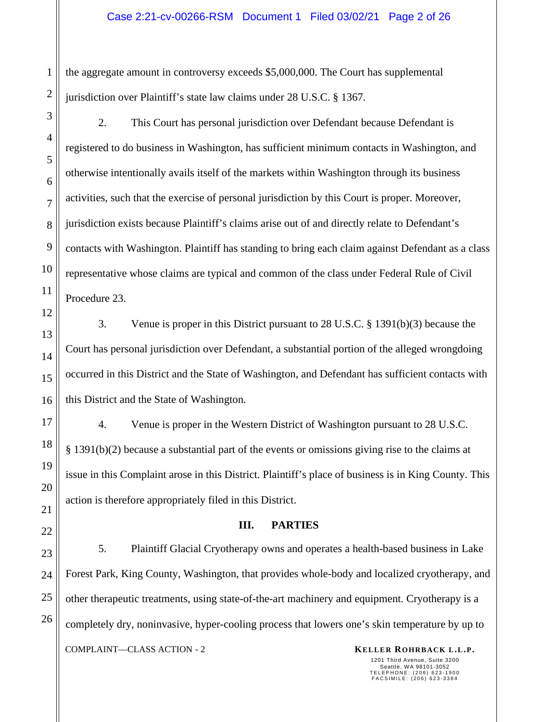### Case 2:21-cv-00266-RSM Document 1 Filed 03/02/21 Page 2 of 26

the aggregate amount in controversy exceeds \$5,000,000. The Court has supplemental jurisdiction over Plaintiff's state law claims under 28 U.S.C. § 1367.

2. This Court has personal jurisdiction over Defendant because Defendant is registered to do business in Washington, has sufficient minimum contacts in Washington, and otherwise intentionally avails itself of the markets within Washington through its business activities, such that the exercise of personal jurisdiction by this Court is proper. Moreover, jurisdiction exists because Plaintiff's claims arise out of and directly relate to Defendant's contacts with Washington. Plaintiff has standing to bring each claim against Defendant as a class representative whose claims are typical and common of the class under Federal Rule of Civil Procedure 23.

3. Venue is proper in this District pursuant to 28 U.S.C. § 1391(b)(3) because the Court has personal jurisdiction over Defendant, a substantial portion of the alleged wrongdoing occurred in this District and the State of Washington, and Defendant has sufficient contacts with this District and the State of Washington.

4. Venue is proper in the Western District of Washington pursuant to 28 U.S.C. § 1391(b)(2) because a substantial part of the events or omissions giving rise to the claims at issue in this Complaint arose in this District. Plaintiff's place of business is in King County. This action is therefore appropriately filed in this District.

### **III. PARTIES**

5. Plaintiff Glacial Cryotherapy owns and operates a health-based business in Lake Forest Park, King County, Washington, that provides whole-body and localized cryotherapy, and other therapeutic treatments, using state-of-the-art machinery and equipment. Cryotherapy is a completely dry, noninvasive, hyper-cooling process that lowers one's skin temperature by up to

**COMPLAINT—CLASS ACTION - 2 KELLER ROHRBACK L.L.P.**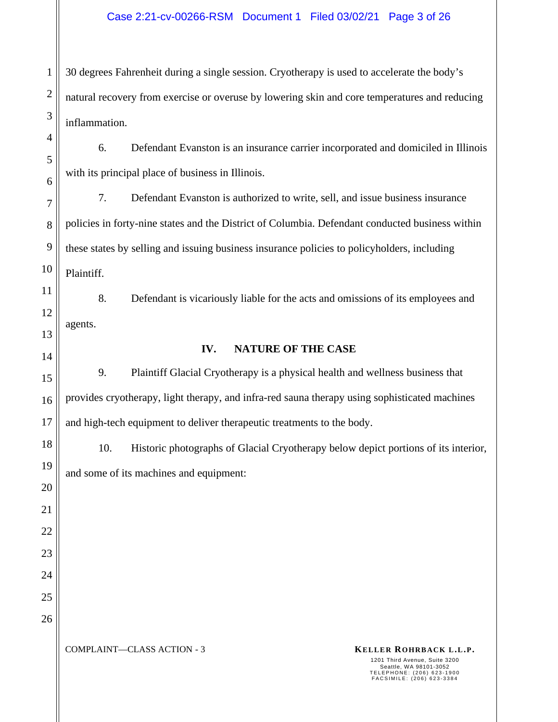30 degrees Fahrenheit during a single session. Cryotherapy is used to accelerate the body's natural recovery from exercise or overuse by lowering skin and core temperatures and reducing inflammation.

6. Defendant Evanston is an insurance carrier incorporated and domiciled in Illinois with its principal place of business in Illinois.

7. Defendant Evanston is authorized to write, sell, and issue business insurance policies in forty-nine states and the District of Columbia. Defendant conducted business within these states by selling and issuing business insurance policies to policyholders, including Plaintiff.

8. Defendant is vicariously liable for the acts and omissions of its employees and agents.

# **IV. NATURE OF THE CASE**

9. Plaintiff Glacial Cryotherapy is a physical health and wellness business that provides cryotherapy, light therapy, and infra-red sauna therapy using sophisticated machines and high-tech equipment to deliver therapeutic treatments to the body.

10. Historic photographs of Glacial Cryotherapy below depict portions of its interior, and some of its machines and equipment:

1

2

3

4

5

6

7

**COMPLAINT—CLASS ACTION - 3 KELLER ROHRBACK L.L.P.**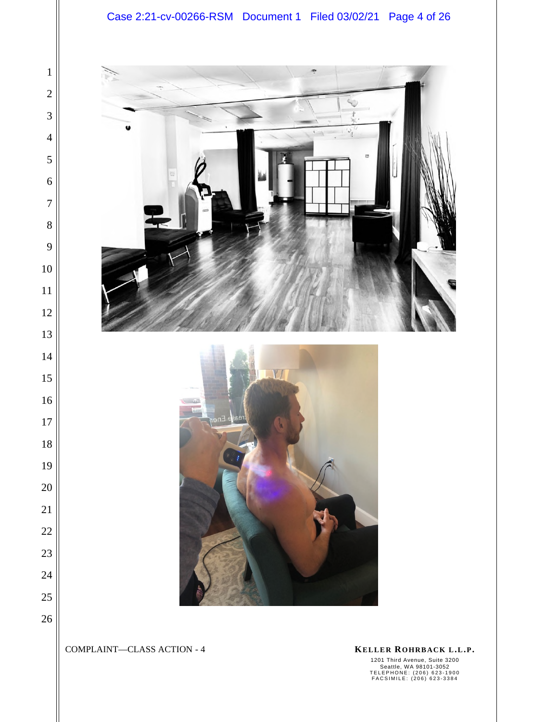

## **COMPLAINT—CLASS ACTION - 4 KELLER ROHRBACK L.L.P.**

1201 Third Avenue, Suite 3200 Seattle, WA 98101-3052 T E L E P H O N E : ( 2 0 6 ) 6 2 3 - 1 9 0 0 F A C S I M I L E : ( 2 0 6 ) 6 2 3 - 3 3 8 4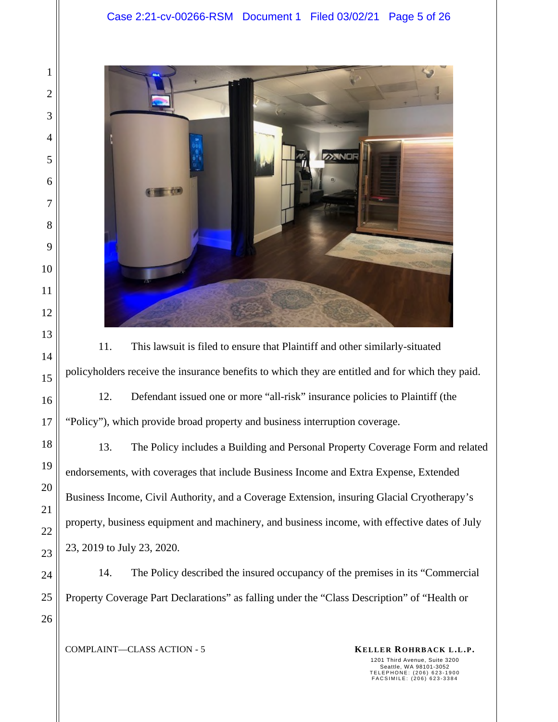

11. This lawsuit is filed to ensure that Plaintiff and other similarly-situated policyholders receive the insurance benefits to which they are entitled and for which they paid. 12. Defendant issued one or more "all-risk" insurance policies to Plaintiff (the

"Policy"), which provide broad property and business interruption coverage.

13. The Policy includes a Building and Personal Property Coverage Form and related endorsements, with coverages that include Business Income and Extra Expense, Extended Business Income, Civil Authority, and a Coverage Extension, insuring Glacial Cryotherapy's property, business equipment and machinery, and business income, with effective dates of July 23, 2019 to July 23, 2020.

14. The Policy described the insured occupancy of the premises in its "Commercial Property Coverage Part Declarations" as falling under the "Class Description" of "Health or

**COMPLAINT—CLASS ACTION - 5 KELLER ROHRBACK L.L.P.** 

1201 Third Avenue, Suite 3200 Seattle, WA 98101-3052 T E L E P H O N E : ( 2 0 6 ) 6 2 3 - 1 9 0 0 F A C S I M I L E : ( 2 0 6 ) 6 2 3 - 3 3 8 4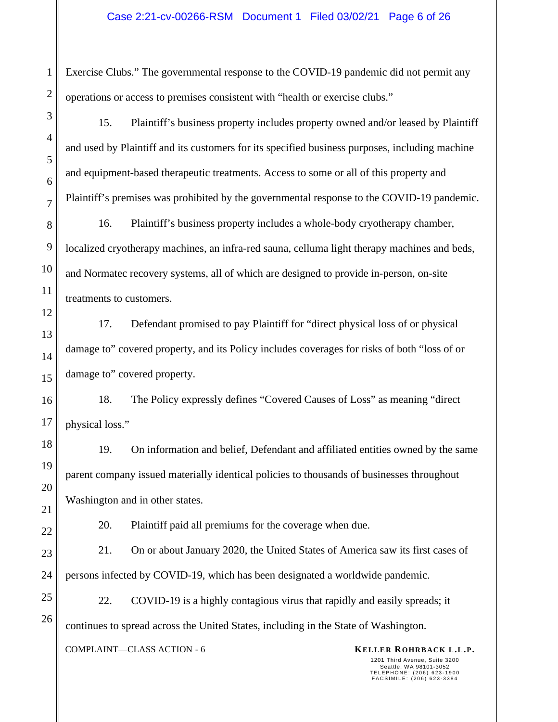Exercise Clubs." The governmental response to the COVID-19 pandemic did not permit any operations or access to premises consistent with "health or exercise clubs."

15. Plaintiff's business property includes property owned and/or leased by Plaintiff and used by Plaintiff and its customers for its specified business purposes, including machine and equipment-based therapeutic treatments. Access to some or all of this property and Plaintiff's premises was prohibited by the governmental response to the COVID-19 pandemic.

16. Plaintiff's business property includes a whole-body cryotherapy chamber, localized cryotherapy machines, an infra-red sauna, celluma light therapy machines and beds, and Normatec recovery systems, all of which are designed to provide in-person, on-site treatments to customers.

17. Defendant promised to pay Plaintiff for "direct physical loss of or physical damage to" covered property, and its Policy includes coverages for risks of both "loss of or damage to" covered property.

18. The Policy expressly defines "Covered Causes of Loss" as meaning "direct physical loss."

19. On information and belief, Defendant and affiliated entities owned by the same parent company issued materially identical policies to thousands of businesses throughout Washington and in other states.

20. Plaintiff paid all premiums for the coverage when due.

21. On or about January 2020, the United States of America saw its first cases of persons infected by COVID-19, which has been designated a worldwide pandemic.

22. COVID-19 is a highly contagious virus that rapidly and easily spreads; it continues to spread across the United States, including in the State of Washington.

**COMPLAINT—CLASS ACTION - 6 KELLER ROHRBACK L.L.P.**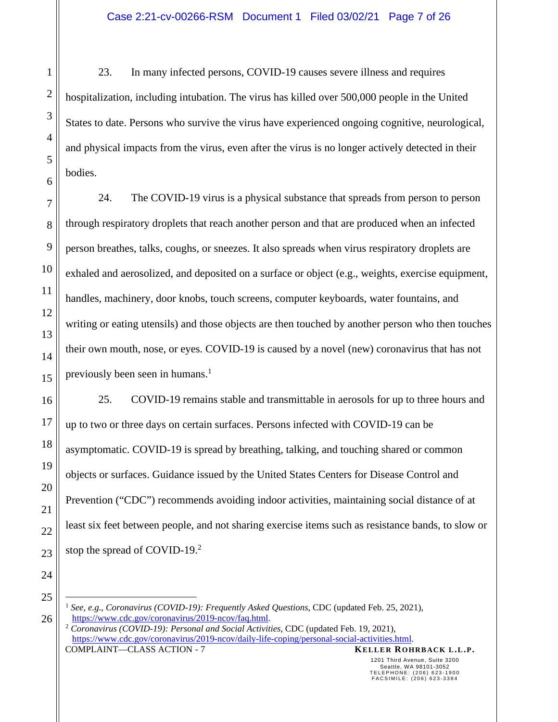23. In many infected persons, COVID-19 causes severe illness and requires hospitalization, including intubation. The virus has killed over 500,000 people in the United States to date. Persons who survive the virus have experienced ongoing cognitive, neurological, and physical impacts from the virus, even after the virus is no longer actively detected in their bodies.

24. The COVID-19 virus is a physical substance that spreads from person to person through respiratory droplets that reach another person and that are produced when an infected person breathes, talks, coughs, or sneezes. It also spreads when virus respiratory droplets are exhaled and aerosolized, and deposited on a surface or object (e.g., weights, exercise equipment, handles, machinery, door knobs, touch screens, computer keyboards, water fountains, and writing or eating utensils) and those objects are then touched by another person who then touches their own mouth, nose, or eyes. COVID-19 is caused by a novel (new) coronavirus that has not previously been seen in humans. $<sup>1</sup>$ </sup>

25. COVID-19 remains stable and transmittable in aerosols for up to three hours and up to two or three days on certain surfaces. Persons infected with COVID-19 can be asymptomatic. COVID-19 is spread by breathing, talking, and touching shared or common objects or surfaces. Guidance issued by the United States Centers for Disease Control and Prevention ("CDC") recommends avoiding indoor activities, maintaining social distance of at least six feet between people, and not sharing exercise items such as resistance bands, to slow or stop the spread of COVID-19.<sup>2</sup>

26

<sup>1</sup> *See, e.g*., *Coronavirus (COVID-19): Frequently Asked Questions*, CDC (updated Feb. 25, 2021), https://www.cdc.gov/coronavirus/2019-ncov/faq.html.

**COMPLAINT—CLASS ACTION - 7 KELLER ROHRBACK L.L.P.** <sup>2</sup> *Coronavirus (COVID-19): Personal and Social Activities*, CDC (updated Feb. 19, 2021), https://www.cdc.gov/coronavirus/2019-ncov/daily-life-coping/personal-social-activities.html.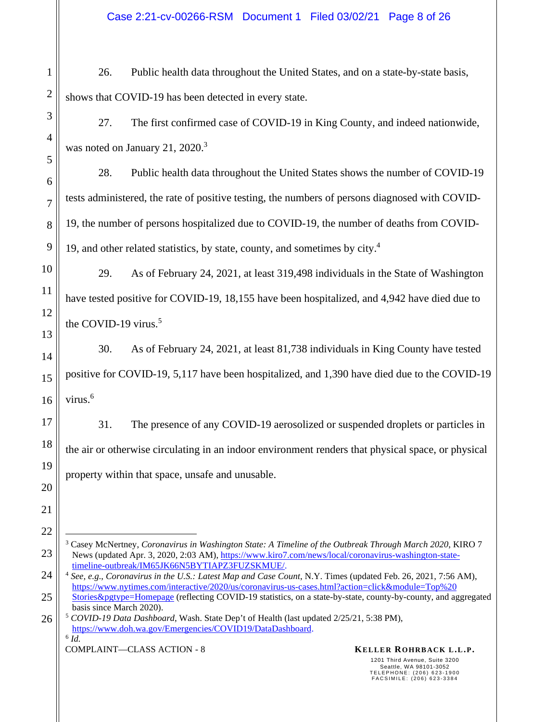## Case 2:21-cv-00266-RSM Document 1 Filed 03/02/21 Page 8 of 26

26. Public health data throughout the United States, and on a state-by-state basis, shows that COVID-19 has been detected in every state.

27. The first confirmed case of COVID-19 in King County, and indeed nationwide, was noted on January 21, 2020.<sup>3</sup>

28. Public health data throughout the United States shows the number of COVID-19 tests administered, the rate of positive testing, the numbers of persons diagnosed with COVID-19, the number of persons hospitalized due to COVID-19, the number of deaths from COVID-19, and other related statistics, by state, county, and sometimes by city.<sup>4</sup>

29. As of February 24, 2021, at least 319,498 individuals in the State of Washington have tested positive for COVID-19, 18,155 have been hospitalized, and 4,942 have died due to the COVID-19 virus. $5$ 

30. As of February 24, 2021, at least 81,738 individuals in King County have tested positive for COVID-19, 5,117 have been hospitalized, and 1,390 have died due to the COVID-19 virus.<sup>6</sup>

31. The presence of any COVID-19 aerosolized or suspended droplets or particles in the air or otherwise circulating in an indoor environment renders that physical space, or physical property within that space, unsafe and unusable.

<sup>3</sup> Casey McNertney, *Coronavirus in Washington State: A Timeline of the Outbreak Through March 2020*, KIRO 7 News (updated Apr. 3, 2020, 2:03 AM), https://www.kiro7.com/news/local/coronavirus-washington-statetimeline-outbreak/IM65JK66N5BYTIAPZ3FUZSKMUE/.

<sup>4</sup> *See, e.g*., *Coronavirus in the U.S.: Latest Map and Case Count*, N.Y. Times (updated Feb. 26, 2021, 7:56 AM), https://www.nytimes.com/interactive/2020/us/coronavirus-us-cases.html?action=click&module=Top%20 Stories&pgtype=Homepage (reflecting COVID-19 statistics, on a state-by-state, county-by-county, and aggregated basis since March 2020).

<sup>5</sup> *COVID-19 Data Dashboard*, Wash. State Dep't of Health (last updated 2/25/21, 5:38 PM), https://www.doh.wa.gov/Emergencies/COVID19/DataDashboard. 6 *Id.*

**COMPLAINT—CLASS ACTION - 8 KELLER ROHRBACK L.L.P.**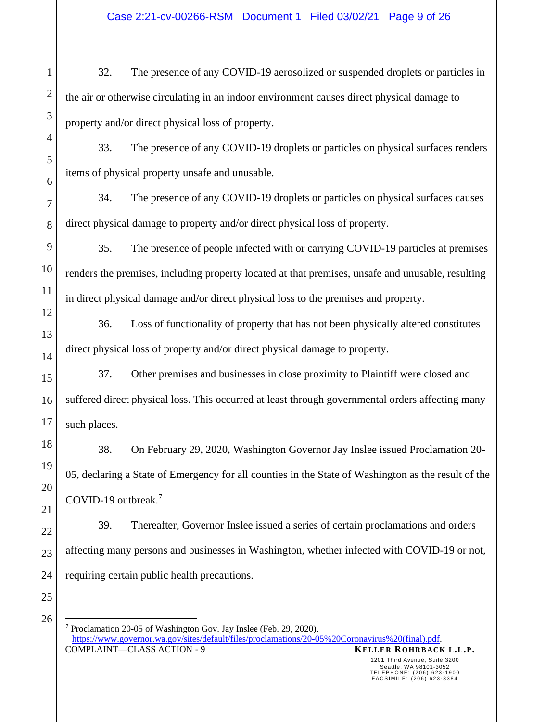## Case 2:21-cv-00266-RSM Document 1 Filed 03/02/21 Page 9 of 26

32. The presence of any COVID-19 aerosolized or suspended droplets or particles in the air or otherwise circulating in an indoor environment causes direct physical damage to property and/or direct physical loss of property.

33. The presence of any COVID-19 droplets or particles on physical surfaces renders items of physical property unsafe and unusable.

34. The presence of any COVID-19 droplets or particles on physical surfaces causes direct physical damage to property and/or direct physical loss of property.

35. The presence of people infected with or carrying COVID-19 particles at premises renders the premises, including property located at that premises, unsafe and unusable, resulting in direct physical damage and/or direct physical loss to the premises and property.

36. Loss of functionality of property that has not been physically altered constitutes direct physical loss of property and/or direct physical damage to property.

37. Other premises and businesses in close proximity to Plaintiff were closed and suffered direct physical loss. This occurred at least through governmental orders affecting many such places.

38. On February 29, 2020, Washington Governor Jay Inslee issued Proclamation 20- 05, declaring a State of Emergency for all counties in the State of Washington as the result of the COVID-19 outbreak.<sup>7</sup>

39. Thereafter, Governor Inslee issued a series of certain proclamations and orders affecting many persons and businesses in Washington, whether infected with COVID-19 or not, requiring certain public health precautions.

**COMPLAINT—CLASS ACTION - 9 KELLER ROHRBACK L.L.P.** 7 Proclamation 20-05 of Washington Gov. Jay Inslee (Feb. 29, 2020), https://www.governor.wa.gov/sites/default/files/proclamations/20-05%20Coronavirus%20(final).pdf.

1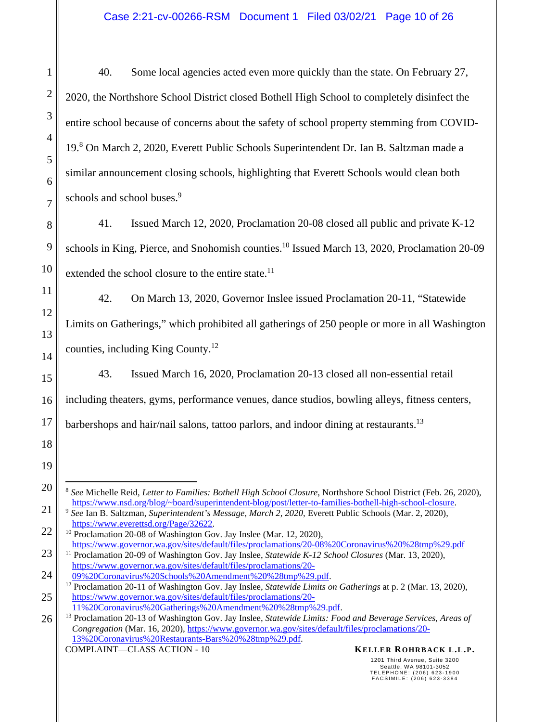40. Some local agencies acted even more quickly than the state. On February 27, 2020, the Northshore School District closed Bothell High School to completely disinfect the entire school because of concerns about the safety of school property stemming from COVID-19.<sup>8</sup> On March 2, 2020, Everett Public Schools Superintendent Dr. Ian B. Saltzman made a similar announcement closing schools, highlighting that Everett Schools would clean both schools and school buses.<sup>9</sup>

41. Issued March 12, 2020, Proclamation 20-08 closed all public and private K-12 schools in King, Pierce, and Snohomish counties.<sup>10</sup> Issued March 13, 2020, Proclamation 20-09 extended the school closure to the entire state. $^{11}$ 

42. On March 13, 2020, Governor Inslee issued Proclamation 20-11, "Statewide Limits on Gatherings," which prohibited all gatherings of 250 people or more in all Washington counties, including King County.<sup>12</sup>

43. Issued March 16, 2020, Proclamation 20-13 closed all non-essential retail including theaters, gyms, performance venues, dance studios, bowling alleys, fitness centers, barbershops and hair/nail salons, tattoo parlors, and indoor dining at restaurants.<sup>13</sup>

https://www.governor.wa.gov/sites/default/files/proclamations/20-

<sup>8</sup> *See* Michelle Reid, *Letter to Families: Bothell High School Closure*, Northshore School District (Feb. 26, 2020), https://www.nsd.org/blog/~board/superintendent-blog/post/letter-to-families-bothell-high-school-closure.

<sup>9</sup> *See* Ian B. Saltzman, *Superintendent's Message, March 2, 2020*, Everett Public Schools (Mar. 2, 2020), https://www.everettsd.org/Page/32622.

<sup>&</sup>lt;sup>10</sup> Proclamation 20-08 of Washington Gov. Jay Inslee (Mar. 12, 2020), https://www.governor.wa.gov/sites/default/files/proclamations/20-08%20Coronavirus%20%28tmp%29.pdf <sup>11</sup> Proclamation 20-09 of Washington Gov. Jay Inslee, *Statewide K-12 School Closures* (Mar. 13, 2020),

<sup>09%20</sup>Coronavirus%20Schools%20Amendment%20%28tmp%29.pdf. <sup>12</sup> Proclamation 20-11 of Washington Gov. Jay Inslee, *Statewide Limits on Gatherings* at p. 2 (Mar. 13, 2020), https://www.governor.wa.gov/sites/default/files/proclamations/20- 11%20Coronavirus%20Gatherings%20Amendment%20%28tmp%29.pdf.

**COMPLAINT—CLASS ACTION - 10 KELLER ROHRBACK L.L.P.** <sup>13</sup> Proclamation 20-13 of Washington Gov. Jay Inslee, *Statewide Limits: Food and Beverage Services, Areas of Congregation* (Mar. 16, 2020), https://www.governor.wa.gov/sites/default/files/proclamations/20- 13%20Coronavirus%20Restaurants-Bars%20%28tmp%29.pdf.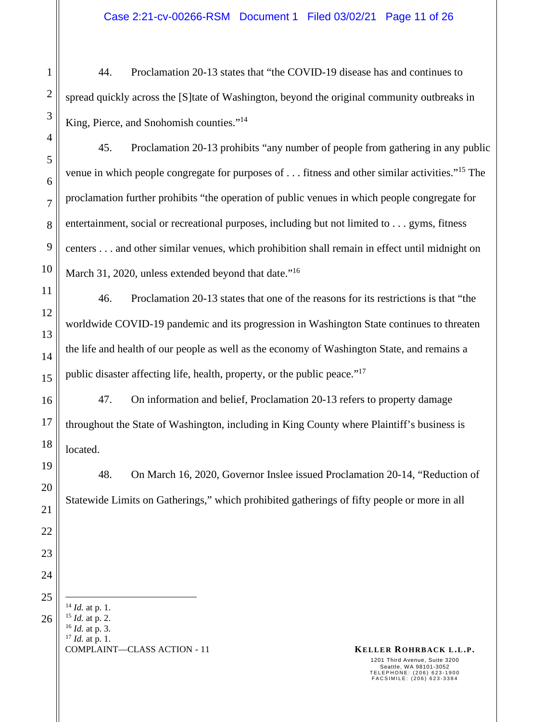44. Proclamation 20-13 states that "the COVID-19 disease has and continues to spread quickly across the [S]tate of Washington, beyond the original community outbreaks in King, Pierce, and Snohomish counties."<sup>14</sup>

45. Proclamation 20-13 prohibits "any number of people from gathering in any public venue in which people congregate for purposes of . . . fitness and other similar activities."<sup>15</sup> The proclamation further prohibits "the operation of public venues in which people congregate for entertainment, social or recreational purposes, including but not limited to . . . gyms, fitness centers . . . and other similar venues, which prohibition shall remain in effect until midnight on March 31, 2020, unless extended beyond that date."<sup>16</sup>

46. Proclamation 20-13 states that one of the reasons for its restrictions is that "the worldwide COVID-19 pandemic and its progression in Washington State continues to threaten the life and health of our people as well as the economy of Washington State, and remains a public disaster affecting life, health, property, or the public peace."<sup>17</sup>

47. On information and belief, Proclamation 20-13 refers to property damage throughout the State of Washington, including in King County where Plaintiff's business is located.

48. On March 16, 2020, Governor Inslee issued Proclamation 20-14, "Reduction of Statewide Limits on Gatherings," which prohibited gatherings of fifty people or more in all

**COMPLAINT—CLASS ACTION - 11 KELLER ROHRBACK L.L.P.**  *Id.* at p. 1. *Id.* at p. 2. *Id.* at p. 3. *Id.* at p. 1.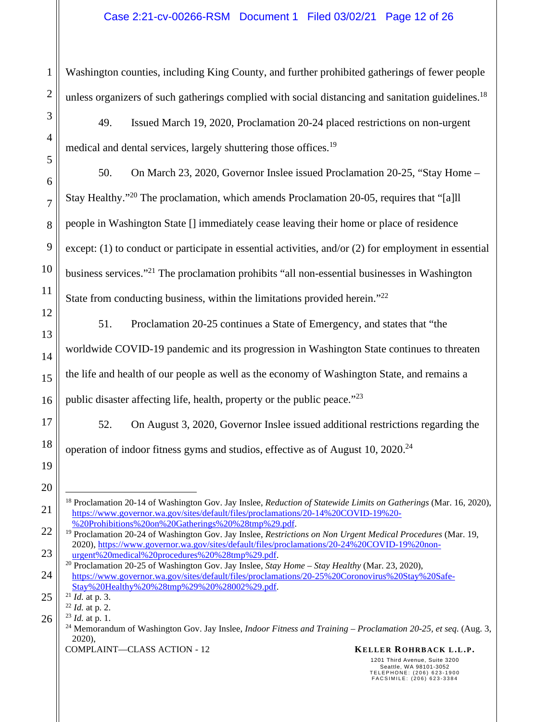### Case 2:21-cv-00266-RSM Document 1 Filed 03/02/21 Page 12 of 26

Washington counties, including King County, and further prohibited gatherings of fewer people unless organizers of such gatherings complied with social distancing and sanitation guidelines.<sup>18</sup>

49. Issued March 19, 2020, Proclamation 20-24 placed restrictions on non-urgent medical and dental services, largely shuttering those offices.<sup>19</sup>

50. On March 23, 2020, Governor Inslee issued Proclamation 20-25, "Stay Home – Stay Healthy."<sup>20</sup> The proclamation, which amends Proclamation 20-05, requires that "[a]ll people in Washington State [] immediately cease leaving their home or place of residence except: (1) to conduct or participate in essential activities, and/or (2) for employment in essential business services."<sup>21</sup> The proclamation prohibits "all non-essential businesses in Washington State from conducting business, within the limitations provided herein."<sup>22</sup>

51. Proclamation 20-25 continues a State of Emergency, and states that "the worldwide COVID-19 pandemic and its progression in Washington State continues to threaten the life and health of our people as well as the economy of Washington State, and remains a public disaster affecting life, health, property or the public peace.<sup> $23$ </sup>

52. On August 3, 2020, Governor Inslee issued additional restrictions regarding the operation of indoor fitness gyms and studios, effective as of August 10, 2020.<sup>24</sup>

1

2

3

4

5

6

7

8

9

10

11

12

13

14

15

16

17

18

19

20

21

22

23

24

<sup>18</sup> Proclamation 20-14 of Washington Gov. Jay Inslee, *Reduction of Statewide Limits on Gatherings* (Mar. 16, 2020), https://www.governor.wa.gov/sites/default/files/proclamations/20-14%20COVID-19%20- %20Prohibitions%20on%20Gatherings%20%28tmp%29.pdf.

<sup>19</sup> Proclamation 20-24 of Washington Gov. Jay Inslee, *Restrictions on Non Urgent Medical Procedures* (Mar. 19, 2020), https://www.governor.wa.gov/sites/default/files/proclamations/20-24%20COVID-19%20nonurgent%20medical%20procedures%20%28tmp%29.pdf.

<sup>20</sup> Proclamation 20-25 of Washington Gov. Jay Inslee, *Stay Home – Stay Healthy* (Mar. 23, 2020), https://www.governor.wa.gov/sites/default/files/proclamations/20-25%20Coronovirus%20Stay%20Safe-Stay%20Healthy%20%28tmp%29%20%28002%29.pdf.

<sup>25</sup>  <sup>21</sup> *Id.* at p. 3.

<sup>22</sup> *Id.* at p. 2.

<sup>26</sup>  <sup>23</sup> *Id.* at p. 1.

<sup>24</sup> Memorandum of Washington Gov. Jay Inslee, *Indoor Fitness and Training – Proclamation 20-25, et seq.* (Aug. 3, 2020),

**COMPLAINT—CLASS ACTION - 12 KELLER ROHRBACK L.L.P.**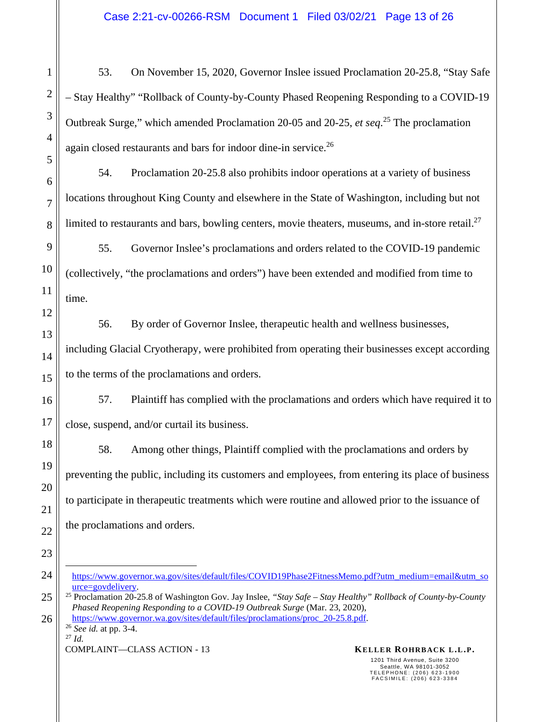53. On November 15, 2020, Governor Inslee issued Proclamation 20-25.8, "Stay Safe *–* Stay Healthy" "Rollback of County-by-County Phased Reopening Responding to a COVID-19 Outbreak Surge," which amended Proclamation 20-05 and 20-25, *et seq*. <sup>25</sup> The proclamation again closed restaurants and bars for indoor dine-in service.<sup>26</sup>

54. Proclamation 20-25.8 also prohibits indoor operations at a variety of business locations throughout King County and elsewhere in the State of Washington, including but not limited to restaurants and bars, bowling centers, movie theaters, museums, and in-store retail. $27$ 

55. Governor Inslee's proclamations and orders related to the COVID-19 pandemic (collectively, "the proclamations and orders") have been extended and modified from time to time.

56. By order of Governor Inslee, therapeutic health and wellness businesses,

including Glacial Cryotherapy, were prohibited from operating their businesses except according to the terms of the proclamations and orders.

57. Plaintiff has complied with the proclamations and orders which have required it to close, suspend, and/or curtail its business.

58. Among other things, Plaintiff complied with the proclamations and orders by preventing the public, including its customers and employees, from entering its place of business to participate in therapeutic treatments which were routine and allowed prior to the issuance of the proclamations and orders.

**COMPLAINT—CLASS ACTION - 13 KELLER ROHRBACK L.L.P.** <sup>26</sup> *See id.* at pp. 3-4.  $^{27}$  *Id.* 

https://www.governor.wa.gov/sites/default/files/COVID19Phase2FitnessMemo.pdf?utm\_medium=email&utm\_so urce=govdelivery.

<sup>25</sup> Proclamation 20-25.8 of Washington Gov. Jay Inslee, *"Stay Safe – Stay Healthy" Rollback of County-by-County Phased Reopening Responding to a COVID-19 Outbreak Surge* (Mar. 23, 2020), https://www.governor.wa.gov/sites/default/files/proclamations/proc\_20-25.8.pdf.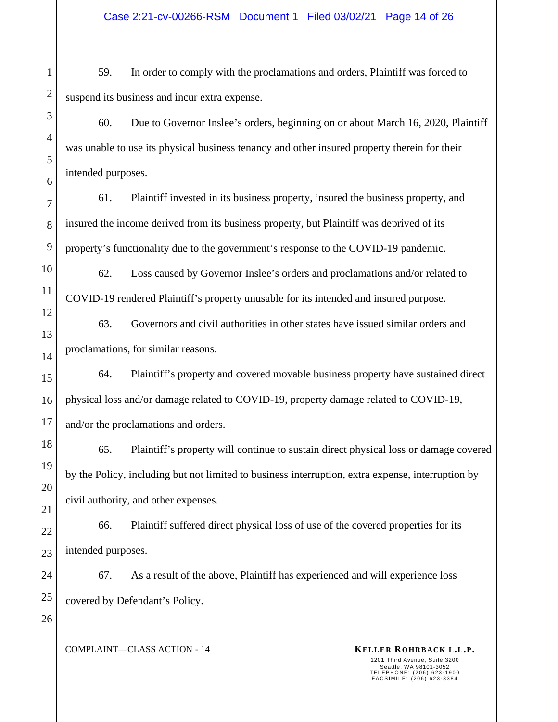59. In order to comply with the proclamations and orders, Plaintiff was forced to suspend its business and incur extra expense.

60. Due to Governor Inslee's orders, beginning on or about March 16, 2020, Plaintiff was unable to use its physical business tenancy and other insured property therein for their intended purposes.

61. Plaintiff invested in its business property, insured the business property, and insured the income derived from its business property, but Plaintiff was deprived of its property's functionality due to the government's response to the COVID-19 pandemic.

62. Loss caused by Governor Inslee's orders and proclamations and/or related to COVID-19 rendered Plaintiff's property unusable for its intended and insured purpose.

63. Governors and civil authorities in other states have issued similar orders and proclamations, for similar reasons.

64. Plaintiff's property and covered movable business property have sustained direct physical loss and/or damage related to COVID-19, property damage related to COVID-19, and/or the proclamations and orders.

65. Plaintiff's property will continue to sustain direct physical loss or damage covered by the Policy, including but not limited to business interruption, extra expense, interruption by civil authority, and other expenses.

66. Plaintiff suffered direct physical loss of use of the covered properties for its intended purposes.

67. As a result of the above, Plaintiff has experienced and will experience loss covered by Defendant's Policy.

**COMPLAINT—CLASS ACTION - 14 KELLER ROHRBACK L.L.P.**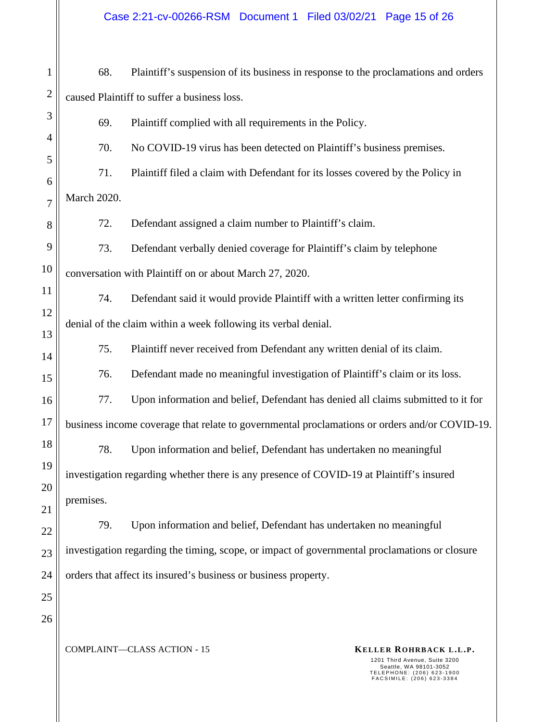### Case 2:21-cv-00266-RSM Document 1 Filed 03/02/21 Page 15 of 26

**COMPLAINT—CLASS ACTION - 15 KELLER ROHRBACK L.L.P.** 1201 Third Avenue, Suite 3200 Seattle, WA 98101-3052<br>TELEPHONE: (206) 623-1900<br>FACSIMILE: (206) 623-3384 1 2 3 4 5 6 7 8 9 10 11 12 13 14 15 16 17 18 19 20 21 22 23 24 25 26 68. Plaintiff's suspension of its business in response to the proclamations and orders caused Plaintiff to suffer a business loss. 69. Plaintiff complied with all requirements in the Policy. 70. No COVID-19 virus has been detected on Plaintiff's business premises. 71. Plaintiff filed a claim with Defendant for its losses covered by the Policy in March 2020. 72. Defendant assigned a claim number to Plaintiff's claim. 73. Defendant verbally denied coverage for Plaintiff's claim by telephone conversation with Plaintiff on or about March 27, 2020. 74. Defendant said it would provide Plaintiff with a written letter confirming its denial of the claim within a week following its verbal denial. 75. Plaintiff never received from Defendant any written denial of its claim. 76. Defendant made no meaningful investigation of Plaintiff's claim or its loss. 77. Upon information and belief, Defendant has denied all claims submitted to it for business income coverage that relate to governmental proclamations or orders and/or COVID-19. 78. Upon information and belief, Defendant has undertaken no meaningful investigation regarding whether there is any presence of COVID-19 at Plaintiff's insured premises. 79. Upon information and belief, Defendant has undertaken no meaningful investigation regarding the timing, scope, or impact of governmental proclamations or closure orders that affect its insured's business or business property.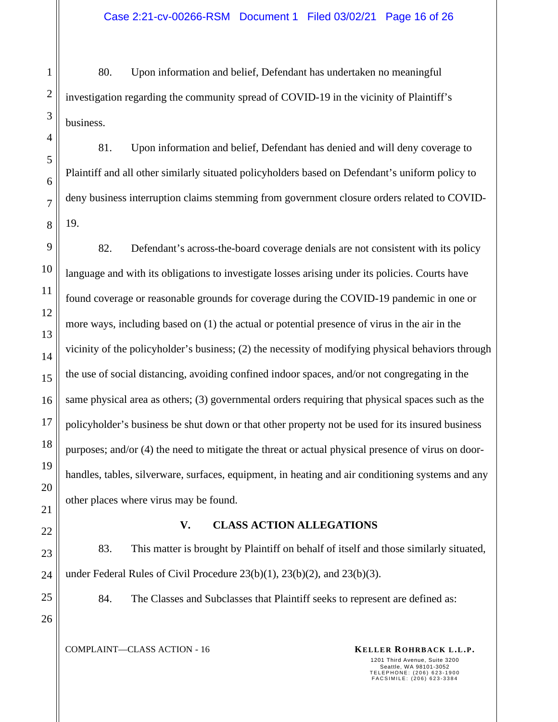80. Upon information and belief, Defendant has undertaken no meaningful investigation regarding the community spread of COVID-19 in the vicinity of Plaintiff's business.

81. Upon information and belief, Defendant has denied and will deny coverage to Plaintiff and all other similarly situated policyholders based on Defendant's uniform policy to deny business interruption claims stemming from government closure orders related to COVID-19.

82. Defendant's across-the-board coverage denials are not consistent with its policy language and with its obligations to investigate losses arising under its policies. Courts have found coverage or reasonable grounds for coverage during the COVID-19 pandemic in one or more ways, including based on (1) the actual or potential presence of virus in the air in the vicinity of the policyholder's business; (2) the necessity of modifying physical behaviors through the use of social distancing, avoiding confined indoor spaces, and/or not congregating in the same physical area as others; (3) governmental orders requiring that physical spaces such as the policyholder's business be shut down or that other property not be used for its insured business purposes; and/or (4) the need to mitigate the threat or actual physical presence of virus on doorhandles, tables, silverware, surfaces, equipment, in heating and air conditioning systems and any other places where virus may be found.

## **V. CLASS ACTION ALLEGATIONS**

83. This matter is brought by Plaintiff on behalf of itself and those similarly situated, under Federal Rules of Civil Procedure 23(b)(1), 23(b)(2), and 23(b)(3).

25

84. The Classes and Subclasses that Plaintiff seeks to represent are defined as:

**COMPLAINT—CLASS ACTION - 16 KELLER ROHRBACK L.L.P.** 

1201 Third Avenue, Suite 3200 Seattle, WA 98101-3052 TELEPHONE: (206) 623-1900<br>FACSIMILE: (206) 623-3384

1

2

3

4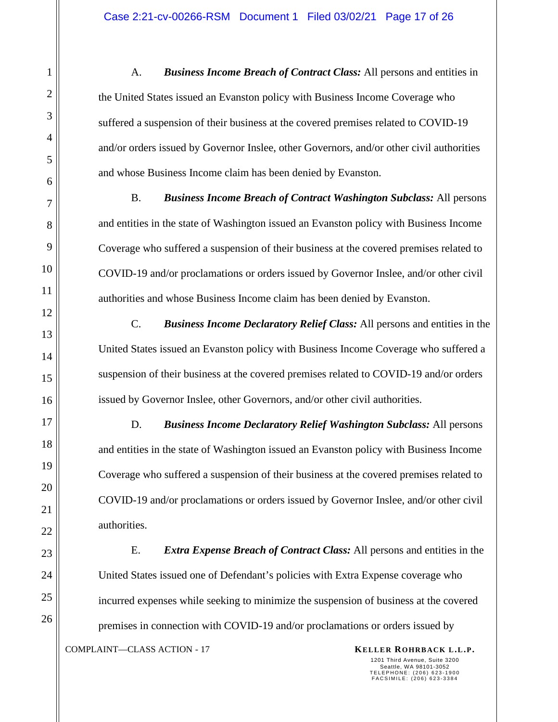A. *Business Income Breach of Contract Class:* All persons and entities in the United States issued an Evanston policy with Business Income Coverage who suffered a suspension of their business at the covered premises related to COVID-19 and/or orders issued by Governor Inslee, other Governors, and/or other civil authorities and whose Business Income claim has been denied by Evanston.

B. *Business Income Breach of Contract Washington Subclass:* All persons and entities in the state of Washington issued an Evanston policy with Business Income Coverage who suffered a suspension of their business at the covered premises related to COVID-19 and/or proclamations or orders issued by Governor Inslee, and/or other civil authorities and whose Business Income claim has been denied by Evanston.

C. *Business Income Declaratory Relief Class:* All persons and entities in the United States issued an Evanston policy with Business Income Coverage who suffered a suspension of their business at the covered premises related to COVID-19 and/or orders issued by Governor Inslee, other Governors, and/or other civil authorities.

D. *Business Income Declaratory Relief Washington Subclass:* All persons and entities in the state of Washington issued an Evanston policy with Business Income Coverage who suffered a suspension of their business at the covered premises related to COVID-19 and/or proclamations or orders issued by Governor Inslee, and/or other civil authorities.

E. *Extra Expense Breach of Contract Class:* All persons and entities in the United States issued one of Defendant's policies with Extra Expense coverage who incurred expenses while seeking to minimize the suspension of business at the covered premises in connection with COVID-19 and/or proclamations or orders issued by

**COMPLAINT—CLASS ACTION - 17 KELLER ROHRBACK L.L.P.**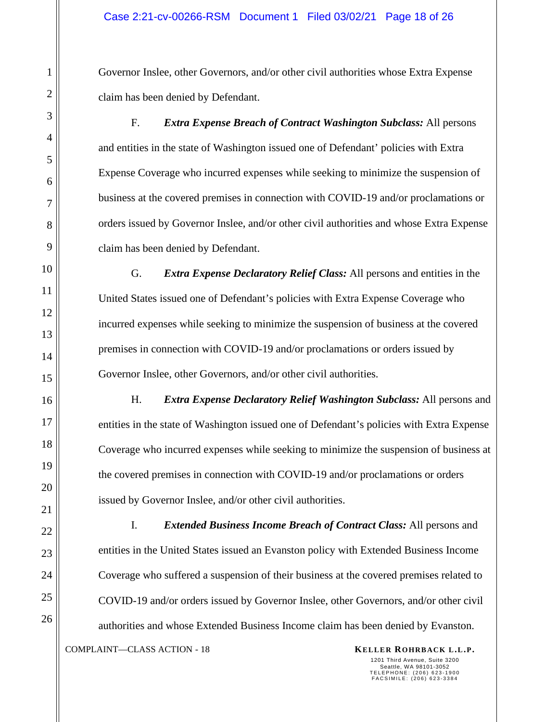Governor Inslee, other Governors, and/or other civil authorities whose Extra Expense claim has been denied by Defendant.

F. *Extra Expense Breach of Contract Washington Subclass:* All persons and entities in the state of Washington issued one of Defendant' policies with Extra Expense Coverage who incurred expenses while seeking to minimize the suspension of business at the covered premises in connection with COVID-19 and/or proclamations or orders issued by Governor Inslee, and/or other civil authorities and whose Extra Expense claim has been denied by Defendant.

G. *Extra Expense Declaratory Relief Class:* All persons and entities in the United States issued one of Defendant's policies with Extra Expense Coverage who incurred expenses while seeking to minimize the suspension of business at the covered premises in connection with COVID-19 and/or proclamations or orders issued by Governor Inslee, other Governors, and/or other civil authorities.

H. *Extra Expense Declaratory Relief Washington Subclass:* All persons and entities in the state of Washington issued one of Defendant's policies with Extra Expense Coverage who incurred expenses while seeking to minimize the suspension of business at the covered premises in connection with COVID-19 and/or proclamations or orders issued by Governor Inslee, and/or other civil authorities.

I. *Extended Business Income Breach of Contract Class:* All persons and entities in the United States issued an Evanston policy with Extended Business Income Coverage who suffered a suspension of their business at the covered premises related to COVID-19 and/or orders issued by Governor Inslee, other Governors, and/or other civil authorities and whose Extended Business Income claim has been denied by Evanston.

**COMPLAINT—CLASS ACTION - 18 KELLER ROHRBACK L.L.P.**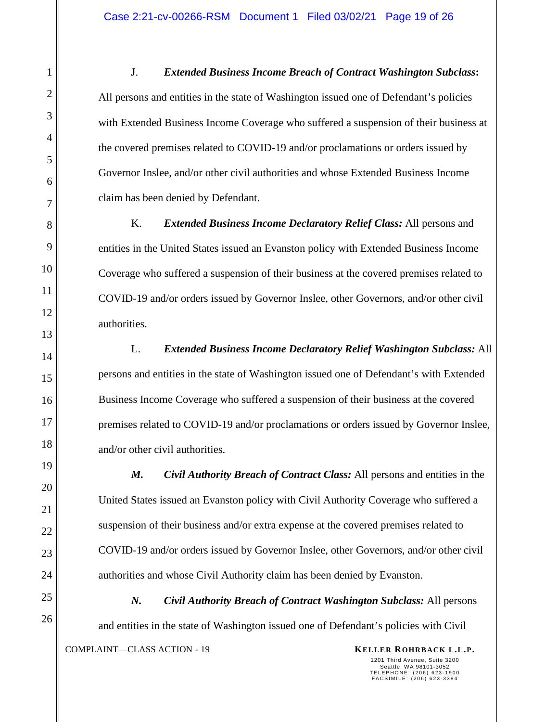J. *Extended Business Income Breach of Contract Washington Subclass***:**  All persons and entities in the state of Washington issued one of Defendant's policies with Extended Business Income Coverage who suffered a suspension of their business at the covered premises related to COVID-19 and/or proclamations or orders issued by Governor Inslee, and/or other civil authorities and whose Extended Business Income claim has been denied by Defendant.

K. *Extended Business Income Declaratory Relief Class:* All persons and entities in the United States issued an Evanston policy with Extended Business Income Coverage who suffered a suspension of their business at the covered premises related to COVID-19 and/or orders issued by Governor Inslee, other Governors, and/or other civil authorities.

L. *Extended Business Income Declaratory Relief Washington Subclass:* All persons and entities in the state of Washington issued one of Defendant's with Extended Business Income Coverage who suffered a suspension of their business at the covered premises related to COVID-19 and/or proclamations or orders issued by Governor Inslee, and/or other civil authorities.

*M. Civil Authority Breach of Contract Class:* All persons and entities in the United States issued an Evanston policy with Civil Authority Coverage who suffered a suspension of their business and/or extra expense at the covered premises related to COVID-19 and/or orders issued by Governor Inslee, other Governors, and/or other civil authorities and whose Civil Authority claim has been denied by Evanston.

**COMPLAINT—CLASS ACTION - 19 KELLER ROHRBACK L.L.P.** *N. Civil Authority Breach of Contract Washington Subclass:* All persons and entities in the state of Washington issued one of Defendant's policies with Civil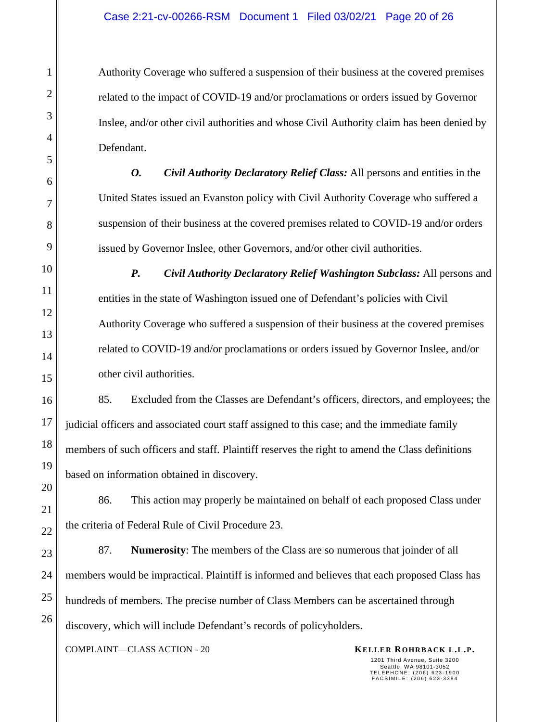Authority Coverage who suffered a suspension of their business at the covered premises related to the impact of COVID-19 and/or proclamations or orders issued by Governor Inslee, and/or other civil authorities and whose Civil Authority claim has been denied by Defendant.

*O. Civil Authority Declaratory Relief Class:* All persons and entities in the United States issued an Evanston policy with Civil Authority Coverage who suffered a suspension of their business at the covered premises related to COVID-19 and/or orders issued by Governor Inslee, other Governors, and/or other civil authorities.

*P. Civil Authority Declaratory Relief Washington Subclass:* All persons and entities in the state of Washington issued one of Defendant's policies with Civil Authority Coverage who suffered a suspension of their business at the covered premises related to COVID-19 and/or proclamations or orders issued by Governor Inslee, and/or other civil authorities.

85. Excluded from the Classes are Defendant's officers, directors, and employees; the judicial officers and associated court staff assigned to this case; and the immediate family members of such officers and staff. Plaintiff reserves the right to amend the Class definitions based on information obtained in discovery.

86. This action may properly be maintained on behalf of each proposed Class under the criteria of Federal Rule of Civil Procedure 23.

87. **Numerosity**: The members of the Class are so numerous that joinder of all members would be impractical. Plaintiff is informed and believes that each proposed Class has hundreds of members. The precise number of Class Members can be ascertained through discovery, which will include Defendant's records of policyholders.

**COMPLAINT—CLASS ACTION - 20 KELLER ROHRBACK L.L.P.**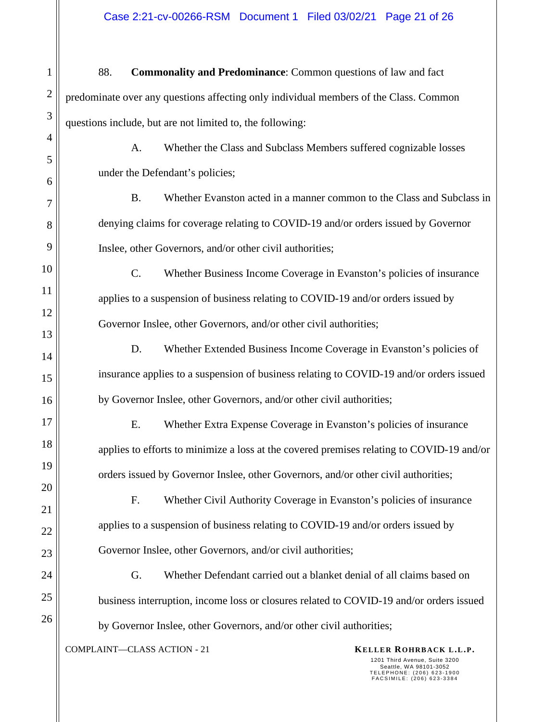### Case 2:21-cv-00266-RSM Document 1 Filed 03/02/21 Page 21 of 26

**COMPLAINT—CLASS ACTION - 21 KELLER ROHRBACK L.L.P.** 1201 Third Avenue, Suite 3200 1 2 3 4 5 6 7 8 9 10 11 12 13 14 15 16 17 18 19 20 21 22 23 24 25 26 88. **Commonality and Predominance**: Common questions of law and fact predominate over any questions affecting only individual members of the Class. Common questions include, but are not limited to, the following: A. Whether the Class and Subclass Members suffered cognizable losses under the Defendant's policies; B. Whether Evanston acted in a manner common to the Class and Subclass in denying claims for coverage relating to COVID-19 and/or orders issued by Governor Inslee, other Governors, and/or other civil authorities; C. Whether Business Income Coverage in Evanston's policies of insurance applies to a suspension of business relating to COVID-19 and/or orders issued by Governor Inslee, other Governors, and/or other civil authorities; D. Whether Extended Business Income Coverage in Evanston's policies of insurance applies to a suspension of business relating to COVID-19 and/or orders issued by Governor Inslee, other Governors, and/or other civil authorities; E. Whether Extra Expense Coverage in Evanston's policies of insurance applies to efforts to minimize a loss at the covered premises relating to COVID-19 and/or orders issued by Governor Inslee, other Governors, and/or other civil authorities; F. Whether Civil Authority Coverage in Evanston's policies of insurance applies to a suspension of business relating to COVID-19 and/or orders issued by Governor Inslee, other Governors, and/or civil authorities; G. Whether Defendant carried out a blanket denial of all claims based on business interruption, income loss or closures related to COVID-19 and/or orders issued by Governor Inslee, other Governors, and/or other civil authorities;

Seattle, WA 98101-3052<br>TELEPHONE: (206) 623-1900<br>FACSIMILE: (206) 623-3384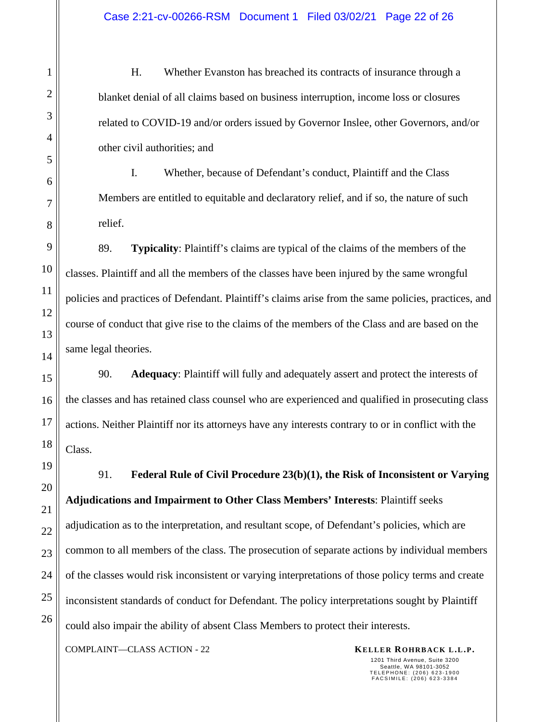H. Whether Evanston has breached its contracts of insurance through a blanket denial of all claims based on business interruption, income loss or closures related to COVID-19 and/or orders issued by Governor Inslee, other Governors, and/or other civil authorities; and

I. Whether, because of Defendant's conduct, Plaintiff and the Class Members are entitled to equitable and declaratory relief, and if so, the nature of such relief.

89. **Typicality**: Plaintiff's claims are typical of the claims of the members of the classes. Plaintiff and all the members of the classes have been injured by the same wrongful policies and practices of Defendant. Plaintiff's claims arise from the same policies, practices, and course of conduct that give rise to the claims of the members of the Class and are based on the same legal theories.

90. **Adequacy**: Plaintiff will fully and adequately assert and protect the interests of the classes and has retained class counsel who are experienced and qualified in prosecuting class actions. Neither Plaintiff nor its attorneys have any interests contrary to or in conflict with the Class.

91. **Federal Rule of Civil Procedure 23(b)(1), the Risk of Inconsistent or Varying Adjudications and Impairment to Other Class Members' Interests**: Plaintiff seeks adjudication as to the interpretation, and resultant scope, of Defendant's policies, which are common to all members of the class. The prosecution of separate actions by individual members of the classes would risk inconsistent or varying interpretations of those policy terms and create inconsistent standards of conduct for Defendant. The policy interpretations sought by Plaintiff could also impair the ability of absent Class Members to protect their interests.

**COMPLAINT—CLASS ACTION - 22 KELLER ROHRBACK L.L.P.**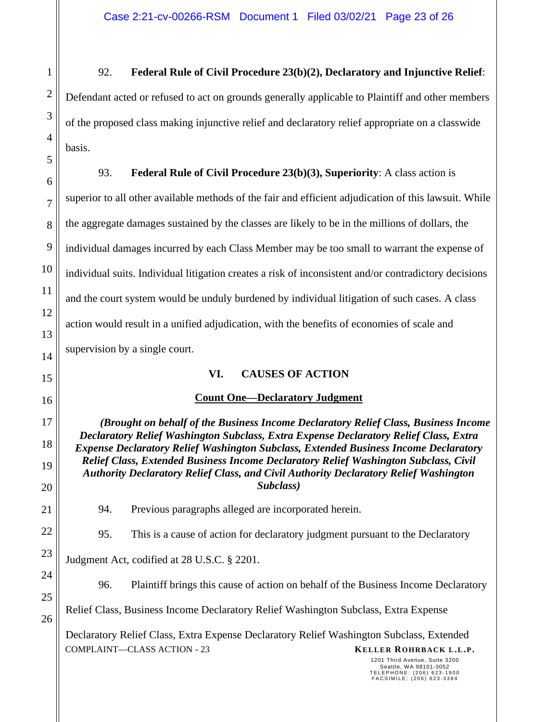92. **Federal Rule of Civil Procedure 23(b)(2), Declaratory and Injunctive Relief**: Defendant acted or refused to act on grounds generally applicable to Plaintiff and other members of the proposed class making injunctive relief and declaratory relief appropriate on a classwide basis.

93. **Federal Rule of Civil Procedure 23(b)(3), Superiority**: A class action is superior to all other available methods of the fair and efficient adjudication of this lawsuit. While the aggregate damages sustained by the classes are likely to be in the millions of dollars, the individual damages incurred by each Class Member may be too small to warrant the expense of individual suits. Individual litigation creates a risk of inconsistent and/or contradictory decisions and the court system would be unduly burdened by individual litigation of such cases. A class action would result in a unified adjudication, with the benefits of economies of scale and supervision by a single court.

### **VI. CAUSES OF ACTION**

# **Count One—Declaratory Judgment**

*(Brought on behalf of the Business Income Declaratory Relief Class, Business Income Declaratory Relief Washington Subclass, Extra Expense Declaratory Relief Class, Extra Expense Declaratory Relief Washington Subclass, Extended Business Income Declaratory Relief Class, Extended Business Income Declaratory Relief Washington Subclass, Civil Authority Declaratory Relief Class, and Civil Authority Declaratory Relief Washington Subclass)* 

94. Previous paragraphs alleged are incorporated herein.

95. This is a cause of action for declaratory judgment pursuant to the Declaratory

Judgment Act, codified at 28 U.S.C. § 2201.

96. Plaintiff brings this cause of action on behalf of the Business Income Declaratory

Relief Class, Business Income Declaratory Relief Washington Subclass, Extra Expense

**COMPLAINT—CLASS ACTION - 23 KELLER ROHRBACK L.L.P.** Declaratory Relief Class, Extra Expense Declaratory Relief Washington Subclass, Extended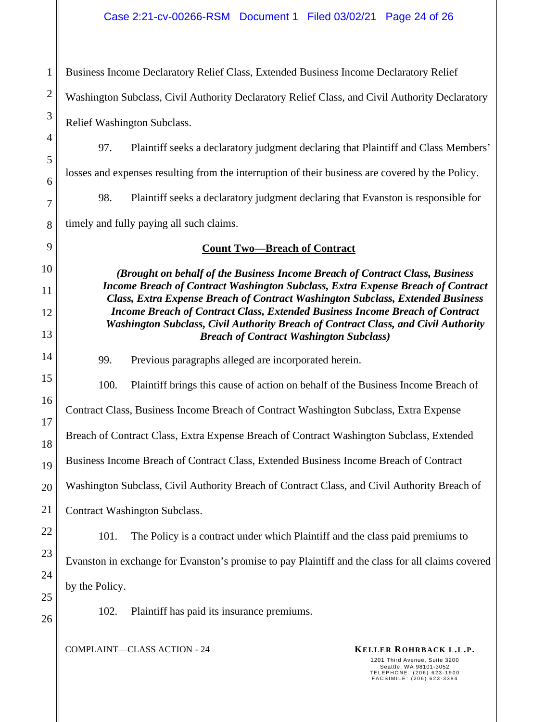| 1              | Business Income Declaratory Relief Class, Extended Business Income Declaratory Relief                                                                                                                                                                    |  |  |  |
|----------------|----------------------------------------------------------------------------------------------------------------------------------------------------------------------------------------------------------------------------------------------------------|--|--|--|
| $\overline{2}$ | Washington Subclass, Civil Authority Declaratory Relief Class, and Civil Authority Declaratory                                                                                                                                                           |  |  |  |
| $\mathfrak{Z}$ | Relief Washington Subclass.                                                                                                                                                                                                                              |  |  |  |
| $\overline{4}$ | 97.<br>Plaintiff seeks a declaratory judgment declaring that Plaintiff and Class Members'                                                                                                                                                                |  |  |  |
| 5              | losses and expenses resulting from the interruption of their business are covered by the Policy.                                                                                                                                                         |  |  |  |
| 6              |                                                                                                                                                                                                                                                          |  |  |  |
| 7              | 98.<br>Plaintiff seeks a declaratory judgment declaring that Evanston is responsible for                                                                                                                                                                 |  |  |  |
| 8              | timely and fully paying all such claims.                                                                                                                                                                                                                 |  |  |  |
| 9              | <b>Count Two-Breach of Contract</b>                                                                                                                                                                                                                      |  |  |  |
| 10             | (Brought on behalf of the Business Income Breach of Contract Class, Business                                                                                                                                                                             |  |  |  |
| 11             | Income Breach of Contract Washington Subclass, Extra Expense Breach of Contract<br><b>Class, Extra Expense Breach of Contract Washington Subclass, Extended Business</b><br>Income Breach of Contract Class, Extended Business Income Breach of Contract |  |  |  |
| 12             |                                                                                                                                                                                                                                                          |  |  |  |
| 13             | Washington Subclass, Civil Authority Breach of Contract Class, and Civil Authority<br><b>Breach of Contract Washington Subclass)</b>                                                                                                                     |  |  |  |
| 14             | 99.<br>Previous paragraphs alleged are incorporated herein.                                                                                                                                                                                              |  |  |  |
| 15             | 100.<br>Plaintiff brings this cause of action on behalf of the Business Income Breach of                                                                                                                                                                 |  |  |  |
| 16             | Contract Class, Business Income Breach of Contract Washington Subclass, Extra Expense                                                                                                                                                                    |  |  |  |
| 17             | Breach of Contract Class, Extra Expense Breach of Contract Washington Subclass, Extended                                                                                                                                                                 |  |  |  |
| 18             | Business Income Breach of Contract Class, Extended Business Income Breach of Contract                                                                                                                                                                    |  |  |  |
| 19             |                                                                                                                                                                                                                                                          |  |  |  |
| 20             | Washington Subclass, Civil Authority Breach of Contract Class, and Civil Authority Breach of                                                                                                                                                             |  |  |  |
| 21             | Contract Washington Subclass.                                                                                                                                                                                                                            |  |  |  |
| 22             | 101.<br>The Policy is a contract under which Plaintiff and the class paid premiums to                                                                                                                                                                    |  |  |  |
| 23             | Evanston in exchange for Evanston's promise to pay Plaintiff and the class for all claims covered                                                                                                                                                        |  |  |  |
| 24             | by the Policy.                                                                                                                                                                                                                                           |  |  |  |
| 25             |                                                                                                                                                                                                                                                          |  |  |  |
| 26             | 102.<br>Plaintiff has paid its insurance premiums.                                                                                                                                                                                                       |  |  |  |
|                |                                                                                                                                                                                                                                                          |  |  |  |

**COMPLAINT—CLASS ACTION - 24 KELLER ROHRBACK L.L.P.** 

1201 Third Avenue, Suite 3200 Seattle, WA 98101-3052 T E L E P H O N E : ( 2 0 6 ) 6 2 3 - 1 9 0 0 F A C S I M I L E : ( 2 0 6 ) 6 2 3 - 3 3 8 4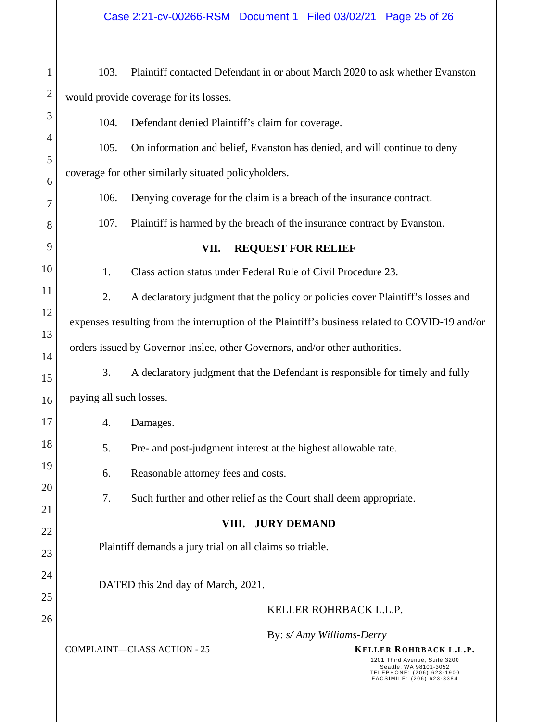### Case 2:21-cv-00266-RSM Document 1 Filed 03/02/21 Page 25 of 26

- 1 2 103. Plaintiff contacted Defendant in or about March 2020 to ask whether Evanston would provide coverage for its losses.
	- 104. Defendant denied Plaintiff's claim for coverage.
	- 105. On information and belief, Evanston has denied, and will continue to deny coverage for other similarly situated policyholders.
		- 106. Denying coverage for the claim is a breach of the insurance contract.
		- 107. Plaintiff is harmed by the breach of the insurance contract by Evanston.

## **VII. REQUEST FOR RELIEF**

1. Class action status under Federal Rule of Civil Procedure 23.

2. A declaratory judgment that the policy or policies cover Plaintiff's losses and

expenses resulting from the interruption of the Plaintiff's business related to COVID-19 and/or

orders issued by Governor Inslee, other Governors, and/or other authorities.

3. A declaratory judgment that the Defendant is responsible for timely and fully paying all such losses.

4. Damages.

3

4

5

6

7

8

9

10

11

12

13

14

15

16

17

18

19

20

21

22

23

24

25

26

- 5. Pre- and post-judgment interest at the highest allowable rate.
	- 6. Reasonable attorney fees and costs.

7. Such further and other relief as the Court shall deem appropriate.

# **VIII. JURY DEMAND**

Plaintiff demands a jury trial on all claims so triable.

DATED this 2nd day of March, 2021.

# **StandardSig** KELLER ROHRBACK L.L.P.

By: *s/ Amy Williams-Derry*

**COMPLAINT—CLASS ACTION - 25 KELLER ROHRBACK L.L.P.**